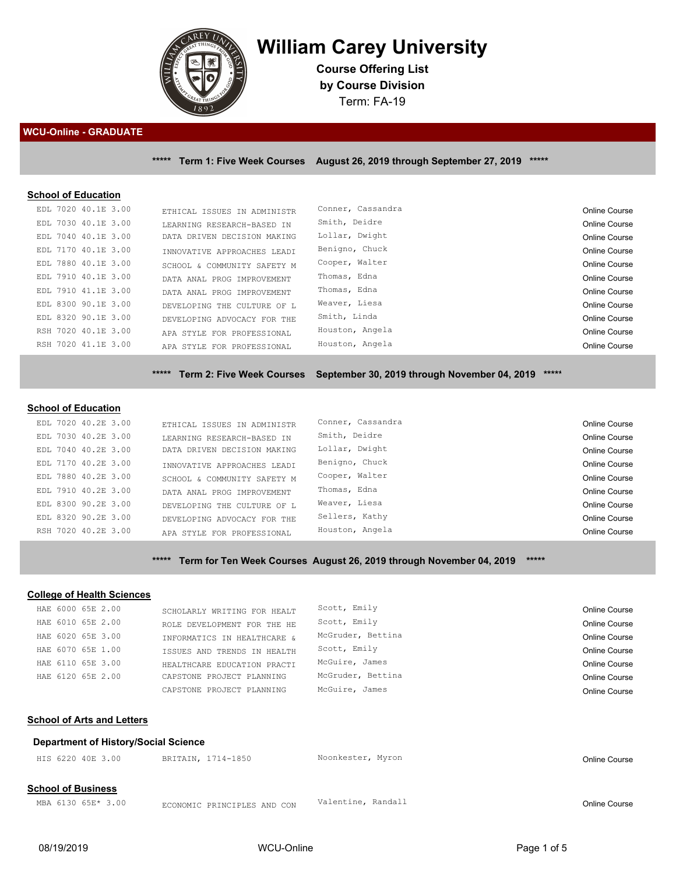

# **William Carey University**

**Course Offering List by Course Division** Term: FA-19

#### **WCU-Online - GRADUATE**

**\*\*\*\*\* Term 1: Five Week Courses August 26, 2019 through September 27, 2019 \*\*\*\*\***

#### **School of Education**

| EDL 7020 40.1E 3.00 | ETHICAL ISSUES IN ADMINISTR | Conner, Cassandra | Online Course        |
|---------------------|-----------------------------|-------------------|----------------------|
| EDL 7030 40.1E 3.00 | LEARNING RESEARCH-BASED IN  | Smith, Deidre     | <b>Online Course</b> |
| EDL 7040 40.1E 3.00 | DATA DRIVEN DECISION MAKING | Lollar, Dwight    | <b>Online Course</b> |
| EDL 7170 40.1E 3.00 | INNOVATIVE APPROACHES LEADI | Benigno, Chuck    | <b>Online Course</b> |
| EDL 7880 40.1E 3.00 | SCHOOL & COMMUNITY SAFETY M | Cooper, Walter    | Online Course        |
| EDL 7910 40.1E 3.00 | DATA ANAL PROG IMPROVEMENT  | Thomas, Edna      | <b>Online Course</b> |
| EDL 7910 41.1E 3.00 | DATA ANAL PROG IMPROVEMENT  | Thomas, Edna      | Online Course        |
| EDL 8300 90.1E 3.00 | DEVELOPING THE CULTURE OF L | Weaver, Liesa     | Online Course        |
| EDL 8320 90.1E 3.00 | DEVELOPING ADVOCACY FOR THE | Smith, Linda      | <b>Online Course</b> |
| RSH 7020 40.1E 3.00 | APA STYLE FOR PROFESSIONAL  | Houston, Angela   | <b>Online Course</b> |
| RSH 7020 41.1E 3.00 | APA STYLE FOR PROFESSIONAL  | Houston, Angela   | Online Course        |
|                     |                             |                   |                      |

**\*\*\*\*\* Term 2: Five Week Courses September 30, 2019 through November 04, 2019 \*\*\*\*\***

#### **School of Education**

| EDL 7020 40.2E 3.00 | ETHICAL ISSUES IN ADMINISTR | Conner, Cassandra | Online Course        |
|---------------------|-----------------------------|-------------------|----------------------|
| EDL 7030 40.2E 3.00 | LEARNING RESEARCH-BASED IN  | Smith, Deidre     | Online Course        |
| EDL 7040 40.2E 3.00 | DATA DRIVEN DECISION MAKING | Lollar, Dwight    | Online Course        |
| EDL 7170 40.2E 3.00 | INNOVATIVE APPROACHES LEADI | Benigno, Chuck    | <b>Online Course</b> |
| EDL 7880 40.2E 3.00 | SCHOOL & COMMUNITY SAFETY M | Cooper, Walter    | Online Course        |
| EDL 7910 40.2E 3.00 | DATA ANAL PROG IMPROVEMENT  | Thomas, Edna      | Online Course        |
| EDL 8300 90.2E 3.00 | DEVELOPING THE CULTURE OF L | Weaver, Liesa     | Online Course        |
| EDL 8320 90.2E 3.00 | DEVELOPING ADVOCACY FOR THE | Sellers, Kathy    | Online Course        |
| RSH 7020 40.2E 3.00 | APA STYLE FOR PROFESSIONAL  | Houston, Angela   | Online Course        |

**\*\*\*\*\* Term for Ten Week Courses August 26, 2019 through November 04, 2019 \*\*\*\*\***

## **College of Health Sciences**

|                   |                                                                           | SCHOLARLY WRITING FOR HEALT                                                                                                | Scott, Emily      | Online Course |
|-------------------|---------------------------------------------------------------------------|----------------------------------------------------------------------------------------------------------------------------|-------------------|---------------|
|                   |                                                                           | ROLE DEVELOPMENT FOR THE HE                                                                                                | Scott, Emily      | Online Course |
|                   |                                                                           | INFORMATICS IN HEALTHCARE &                                                                                                | McGruder, Bettina | Online Course |
|                   |                                                                           | ISSUES AND TRENDS IN HEALTH                                                                                                | Scott, Emily      | Online Course |
|                   |                                                                           | HEALTHCARE EDUCATION PRACTI                                                                                                | McGuire, James    | Online Course |
|                   |                                                                           | CAPSTONE PROJECT PLANNING                                                                                                  | McGruder, Bettina | Online Course |
|                   |                                                                           | CAPSTONE PROJECT PLANNING                                                                                                  | McGuire, James    | Online Course |
|                   |                                                                           |                                                                                                                            |                   |               |
|                   | <b>School of Arts and Letters</b><br>Department of History/Social Science |                                                                                                                            |                   |               |
| HIS 6220 40E 3.00 |                                                                           | BRITAIN, 1714-1850                                                                                                         | Noonkester, Myron | Online Course |
|                   |                                                                           | HAE 6000 65E 2.00<br>HAE 6010 65E 2.00<br>HAE 6020 65E 3.00<br>HAE 6070 65E 1.00<br>HAE 6110 65E 3.00<br>HAE 6120 65E 2.00 |                   |               |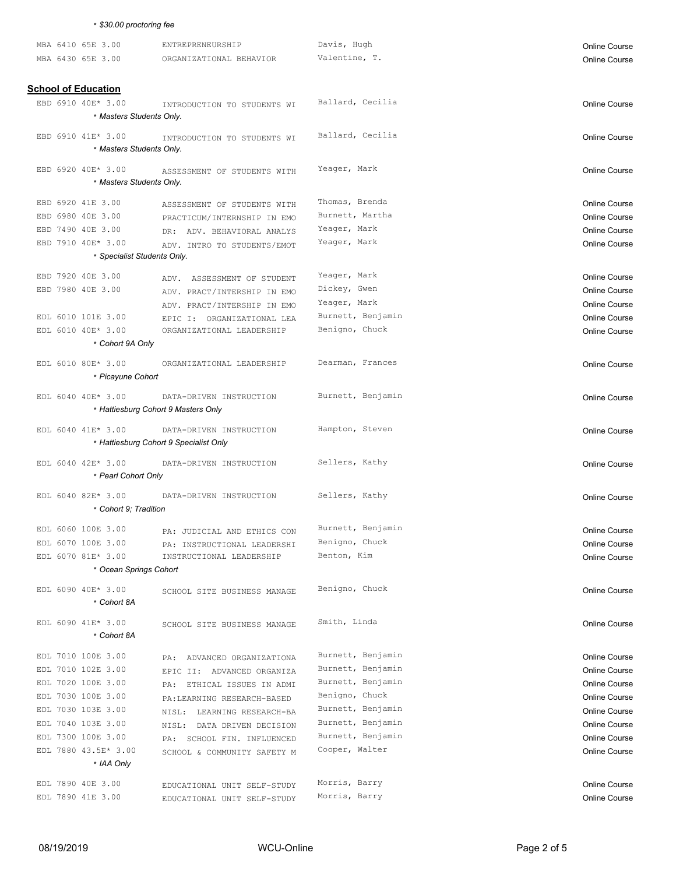|  | * \$30.00 proctoring fee          |                                                         |                   |                                              |
|--|-----------------------------------|---------------------------------------------------------|-------------------|----------------------------------------------|
|  | MBA 6410 65E 3.00                 | ENTREPRENEURSHIP                                        | Davis, Hugh       | <b>Online Course</b>                         |
|  | MBA 6430 65E 3.00                 | ORGANIZATIONAL BEHAVIOR                                 | Valentine, T.     | <b>Online Course</b>                         |
|  |                                   |                                                         |                   |                                              |
|  | <b>School of Education</b>        |                                                         |                   |                                              |
|  | EBD 6910 40E* 3.00                | INTRODUCTION TO STUDENTS WI                             | Ballard, Cecilia  | <b>Online Course</b>                         |
|  | * Masters Students Only.          |                                                         |                   |                                              |
|  | EBD 6910 41E* 3.00                |                                                         | Ballard, Cecilia  |                                              |
|  | * Masters Students Only.          | INTRODUCTION TO STUDENTS WI                             |                   | <b>Online Course</b>                         |
|  |                                   |                                                         |                   |                                              |
|  | EBD 6920 40E* 3.00                | ASSESSMENT OF STUDENTS WITH                             | Yeager, Mark      | <b>Online Course</b>                         |
|  | * Masters Students Only.          |                                                         |                   |                                              |
|  | EBD 6920 41E 3.00                 | ASSESSMENT OF STUDENTS WITH                             | Thomas, Brenda    | <b>Online Course</b>                         |
|  | EBD 6980 40E 3.00                 | PRACTICUM/INTERNSHIP IN EMO                             | Burnett, Martha   | <b>Online Course</b>                         |
|  | EBD 7490 40E 3.00                 | DR: ADV. BEHAVIORAL ANALYS                              | Yeager, Mark      | <b>Online Course</b>                         |
|  | EBD 7910 40E* 3.00                | ADV. INTRO TO STUDENTS/EMOT                             | Yeager, Mark      | <b>Online Course</b>                         |
|  | * Specialist Students Only.       |                                                         |                   |                                              |
|  | EBD 7920 40E 3.00                 | ADV. ASSESSMENT OF STUDENT                              | Yeager, Mark      | <b>Online Course</b>                         |
|  | EBD 7980 40E 3.00                 | ADV. PRACT/INTERSHIP IN EMO                             | Dickey, Gwen      | <b>Online Course</b>                         |
|  |                                   | ADV. PRACT/INTERSHIP IN EMO                             | Yeager, Mark      | <b>Online Course</b>                         |
|  | EDL 6010 101E 3.00                | EPIC I: ORGANIZATIONAL LEA                              | Burnett, Benjamin | <b>Online Course</b>                         |
|  | EDL 6010 40E* 3.00                | ORGANIZATIONAL LEADERSHIP                               | Benigno, Chuck    | <b>Online Course</b>                         |
|  | * Cohort 9A Only                  |                                                         |                   |                                              |
|  | EDL 6010 80E* 3.00                | ORGANIZATIONAL LEADERSHIP                               | Dearman, Frances  | <b>Online Course</b>                         |
|  | * Picayune Cohort                 |                                                         |                   |                                              |
|  | EDL 6040 40E* 3.00                | DATA-DRIVEN INSTRUCTION                                 | Burnett, Benjamin |                                              |
|  |                                   | * Hattiesburg Cohort 9 Masters Only                     |                   | <b>Online Course</b>                         |
|  |                                   |                                                         |                   |                                              |
|  | EDL 6040 41E* 3.00                | DATA-DRIVEN INSTRUCTION                                 | Hampton, Steven   | <b>Online Course</b>                         |
|  |                                   | * Hattiesburg Cohort 9 Specialist Only                  |                   |                                              |
|  | EDL 6040 42E* 3.00                | DATA-DRIVEN INSTRUCTION                                 | Sellers, Kathy    | <b>Online Course</b>                         |
|  | * Pearl Cohort Only               |                                                         |                   |                                              |
|  | EDL 6040 82E* 3.00                | DATA-DRIVEN INSTRUCTION                                 | Sellers, Kathy    | <b>Online Course</b>                         |
|  | * Cohort 9: Tradition             |                                                         |                   |                                              |
|  | EDL 6060 100E 3.00                |                                                         | Burnett, Benjamin |                                              |
|  | EDL 6070 100E 3.00                | PA: JUDICIAL AND ETHICS CON                             | Benigno, Chuck    | <b>Online Course</b><br><b>Online Course</b> |
|  | EDL 6070 81E* 3.00                | PA: INSTRUCTIONAL LEADERSHI<br>INSTRUCTIONAL LEADERSHIP | Benton, Kim       | <b>Online Course</b>                         |
|  | * Ocean Springs Cohort            |                                                         |                   |                                              |
|  |                                   |                                                         |                   |                                              |
|  | EDL 6090 40E* 3.00<br>* Cohort 8A | SCHOOL SITE BUSINESS MANAGE                             | Benigno, Chuck    | <b>Online Course</b>                         |
|  |                                   |                                                         |                   |                                              |
|  | EDL 6090 41E* 3.00                | SCHOOL SITE BUSINESS MANAGE                             | Smith, Linda      | <b>Online Course</b>                         |
|  | * Cohort 8A                       |                                                         |                   |                                              |
|  | EDL 7010 100E 3.00                | PA: ADVANCED ORGANIZATIONA                              | Burnett, Benjamin | <b>Online Course</b>                         |
|  | EDL 7010 102E 3.00                | EPIC II: ADVANCED ORGANIZA                              | Burnett, Benjamin | <b>Online Course</b>                         |
|  | EDL 7020 100E 3.00                | PA: ETHICAL ISSUES IN ADMI                              | Burnett, Benjamin | <b>Online Course</b>                         |
|  | EDL 7030 100E 3.00                | PA: LEARNING RESEARCH-BASED                             | Benigno, Chuck    | <b>Online Course</b>                         |
|  | EDL 7030 103E 3.00                | NISL: LEARNING RESEARCH-BA                              | Burnett, Benjamin | <b>Online Course</b>                         |
|  | EDL 7040 103E 3.00                | NISL: DATA DRIVEN DECISION                              | Burnett, Benjamin | <b>Online Course</b>                         |
|  | EDL 7300 100E 3.00                | PA: SCHOOL FIN. INFLUENCED                              | Burnett, Benjamin | <b>Online Course</b>                         |
|  | EDL 7880 43.5E* 3.00              | SCHOOL & COMMUNITY SAFETY M                             | Cooper, Walter    | <b>Online Course</b>                         |
|  | * IAA Only                        |                                                         |                   |                                              |
|  | EDL 7890 40E 3.00                 | EDUCATIONAL UNIT SELF-STUDY                             | Morris, Barry     | <b>Online Course</b>                         |
|  | EDL 7890 41E 3.00                 | EDUCATIONAL UNIT SELF-STUDY                             | Morris, Barry     | Online Course                                |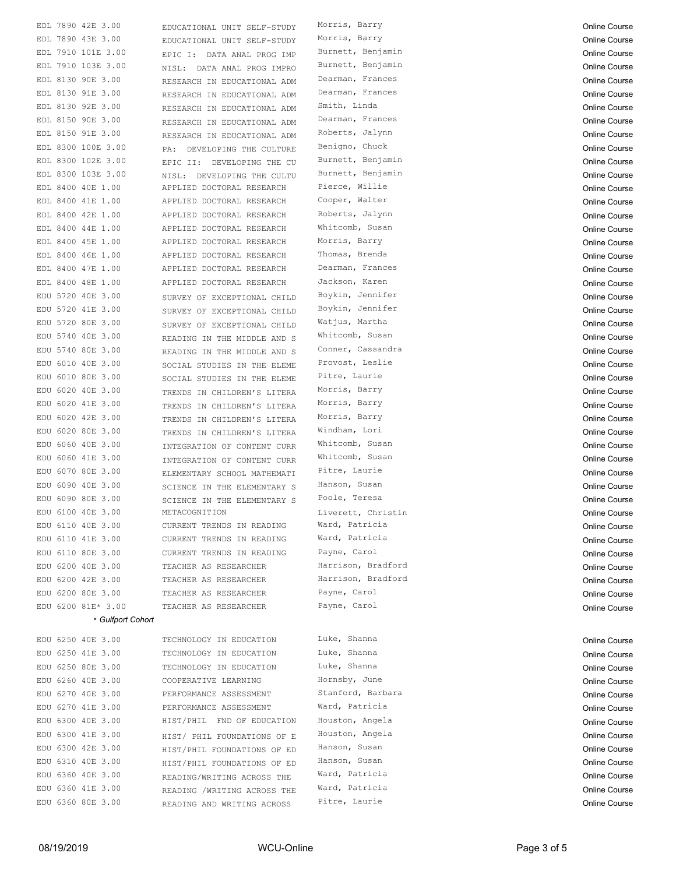|  | EDL 7890 42E 3.00  | EDUCATIONAL UNIT SELF-STUDY | Morris, Barry      | <b>Online Course</b> |
|--|--------------------|-----------------------------|--------------------|----------------------|
|  | EDL 7890 43E 3.00  | EDUCATIONAL UNIT SELF-STUDY | Morris, Barry      | <b>Online Course</b> |
|  | EDL 7910 101E 3.00 | EPIC I: DATA ANAL PROG IMP  | Burnett, Benjamin  | <b>Online Course</b> |
|  | EDL 7910 103E 3.00 | NISL: DATA ANAL PROG IMPRO  | Burnett, Benjamin  | <b>Online Course</b> |
|  | EDL 8130 90E 3.00  | RESEARCH IN EDUCATIONAL ADM | Dearman, Frances   | <b>Online Course</b> |
|  | EDL 8130 91E 3.00  | RESEARCH IN EDUCATIONAL ADM | Dearman, Frances   | <b>Online Course</b> |
|  | EDL 8130 92E 3.00  | RESEARCH IN EDUCATIONAL ADM | Smith, Linda       | <b>Online Course</b> |
|  | EDL 8150 90E 3.00  | RESEARCH IN EDUCATIONAL ADM | Dearman, Frances   | <b>Online Course</b> |
|  | EDL 8150 91E 3.00  | RESEARCH IN EDUCATIONAL ADM | Roberts, Jalynn    | <b>Online Course</b> |
|  | EDL 8300 100E 3.00 | PA: DEVELOPING THE CULTURE  | Benigno, Chuck     | <b>Online Course</b> |
|  | EDL 8300 102E 3.00 | EPIC II: DEVELOPING THE CU  | Burnett, Benjamin  | <b>Online Course</b> |
|  | EDL 8300 103E 3.00 | NISL: DEVELOPING THE CULTU  | Burnett, Benjamin  | <b>Online Course</b> |
|  | EDL 8400 40E 1.00  | APPLIED DOCTORAL RESEARCH   | Pierce, Willie     | <b>Online Course</b> |
|  | EDL 8400 41E 1.00  | APPLIED DOCTORAL RESEARCH   | Cooper, Walter     | <b>Online Course</b> |
|  | EDL 8400 42E 1.00  | APPLIED DOCTORAL RESEARCH   | Roberts, Jalynn    | <b>Online Course</b> |
|  | EDL 8400 44E 1.00  | APPLIED DOCTORAL RESEARCH   | Whitcomb, Susan    | Online Course        |
|  | EDL 8400 45E 1.00  | APPLIED DOCTORAL RESEARCH   | Morris, Barry      | <b>Online Course</b> |
|  | EDL 8400 46E 1.00  | APPLIED DOCTORAL RESEARCH   | Thomas, Brenda     | <b>Online Course</b> |
|  | EDL 8400 47E 1.00  | APPLIED DOCTORAL RESEARCH   | Dearman, Frances   | <b>Online Course</b> |
|  | EDL 8400 48E 1.00  | APPLIED DOCTORAL RESEARCH   | Jackson, Karen     | <b>Online Course</b> |
|  | EDU 5720 40E 3.00  | SURVEY OF EXCEPTIONAL CHILD | Boykin, Jennifer   | Online Course        |
|  | EDU 5720 41E 3.00  | SURVEY OF EXCEPTIONAL CHILD | Boykin, Jennifer   | Online Course        |
|  | EDU 5720 80E 3.00  | SURVEY OF EXCEPTIONAL CHILD | Watjus, Martha     | <b>Online Course</b> |
|  | EDU 5740 40E 3.00  | READING IN THE MIDDLE AND S | Whitcomb, Susan    | Online Course        |
|  | EDU 5740 80E 3.00  | READING IN THE MIDDLE AND S | Conner, Cassandra  | <b>Online Course</b> |
|  | EDU 6010 40E 3.00  | SOCIAL STUDIES IN THE ELEME | Provost, Leslie    | <b>Online Course</b> |
|  | EDU 6010 80E 3.00  | SOCIAL STUDIES IN THE ELEME | Pitre, Laurie      | <b>Online Course</b> |
|  | EDU 6020 40E 3.00  | TRENDS IN CHILDREN'S LITERA | Morris, Barry      | <b>Online Course</b> |
|  | EDU 6020 41E 3.00  | TRENDS IN CHILDREN'S LITERA | Morris, Barry      | <b>Online Course</b> |
|  | EDU 6020 42E 3.00  | TRENDS IN CHILDREN'S LITERA | Morris, Barry      | <b>Online Course</b> |
|  | EDU 6020 80E 3.00  | TRENDS IN CHILDREN'S LITERA | Windham, Lori      | <b>Online Course</b> |
|  | EDU 6060 40E 3.00  | INTEGRATION OF CONTENT CURR | Whitcomb, Susan    | <b>Online Course</b> |
|  | EDU 6060 41E 3.00  | INTEGRATION OF CONTENT CURR | Whitcomb, Susan    | <b>Online Course</b> |
|  | EDU 6070 80E 3.00  | ELEMENTARY SCHOOL MATHEMATI | Pitre, Laurie      | <b>Online Course</b> |
|  | EDU 6090 40E 3.00  | SCIENCE IN THE ELEMENTARY S | Hanson, Susan      | <b>Online Course</b> |
|  | EDU 6090 80E 3.00  | SCIENCE IN THE ELEMENTARY S | Poole, Teresa      | <b>Online Course</b> |
|  | EDU 6100 40E 3.00  | METACOGNITION               | Liverett, Christin | Online Course        |
|  | EDU 6110 40E 3.00  | CURRENT TRENDS IN READING   | Ward, Patricia     | Online Course        |
|  | EDU 6110 41E 3.00  | CURRENT TRENDS IN READING   | Ward, Patricia     | Online Course        |
|  | EDU 6110 80E 3.00  | CURRENT TRENDS IN READING   | Payne, Carol       | Online Course        |
|  | EDU 6200 40E 3.00  | TEACHER AS RESEARCHER       | Harrison, Bradford | <b>Online Course</b> |
|  | EDU 6200 42E 3.00  | TEACHER AS RESEARCHER       | Harrison, Bradford | <b>Online Course</b> |
|  | EDU 6200 80E 3.00  | TEACHER AS RESEARCHER       | Payne, Carol       | <b>Online Course</b> |
|  | EDU 6200 81E* 3.00 | TEACHER AS RESEARCHER       | Payne, Carol       | <b>Online Course</b> |
|  | * Gulfport Cohort  |                             |                    |                      |
|  |                    |                             |                    |                      |
|  | EDU 6250 40E 3.00  | TECHNOLOGY IN EDUCATION     | Luke, Shanna       | <b>Online Course</b> |
|  | EDU 6250 41E 3.00  | TECHNOLOGY IN EDUCATION     | Luke, Shanna       | <b>Online Course</b> |
|  | EDU 6250 80E 3.00  | TECHNOLOGY IN EDUCATION     | Luke, Shanna       | <b>Online Course</b> |
|  | EDU 6260 40E 3.00  | COOPERATIVE LEARNING        | Hornsby, June      | <b>Online Course</b> |
|  | EDU 6270 40E 3.00  | PERFORMANCE ASSESSMENT      | Stanford, Barbara  | <b>Online Course</b> |
|  | EDU 6270 41E 3.00  | PERFORMANCE ASSESSMENT      | Ward, Patricia     | <b>Online Course</b> |
|  | EDU 6300 40E 3.00  | HIST/PHIL FND OF EDUCATION  | Houston, Angela    | <b>Online Course</b> |
|  | EDU 6300 41E 3.00  | HIST/ PHIL FOUNDATIONS OF E | Houston, Angela    | <b>Online Course</b> |
|  | EDU 6300 42E 3.00  | HIST/PHIL FOUNDATIONS OF ED | Hanson, Susan      | <b>Online Course</b> |
|  | EDU 6310 40E 3.00  | HIST/PHIL FOUNDATIONS OF ED | Hanson, Susan      | <b>Online Course</b> |
|  | EDU 6360 40E 3.00  | READING/WRITING ACROSS THE  | Ward, Patricia     | <b>Online Course</b> |
|  | EDU 6360 41E 3.00  | READING /WRITING ACROSS THE | Ward, Patricia     | <b>Online Course</b> |
|  | EDU 6360 80E 3.00  | READING AND WRITING ACROSS  | Pitre, Laurie      | <b>Online Course</b> |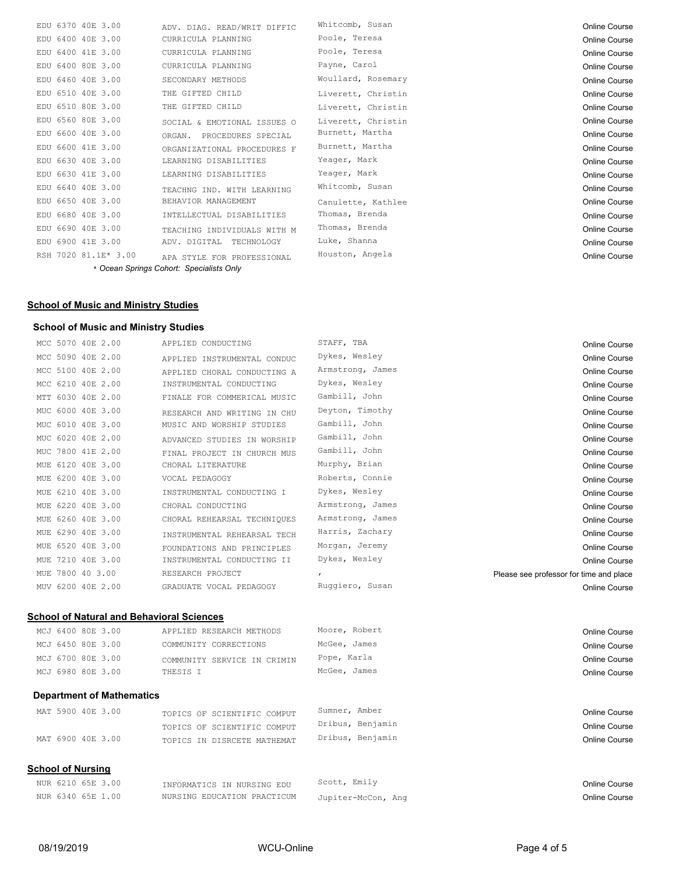| EDU 6370 40E 3.00    | ADV. DIAG. READ/WRIT DIFFIC              | Whitcomb, Susan    | Online Course |
|----------------------|------------------------------------------|--------------------|---------------|
| EDU 6400 40E 3.00    | CURRICULA PLANNING                       | Poole, Teresa      | Online Course |
| EDU 6400 41E 3.00    | CURRICULA PLANNING                       | Poole, Teresa      | Online Course |
| EDU 6400 80E 3.00    | CURRICULA PLANNING                       | Payne, Carol       | Online Course |
| EDU 6460 40E 3.00    | SECONDARY METHODS                        | Woullard, Rosemary | Online Course |
| EDU 6510 40E 3.00    | THE GIFTED CHILD                         | Liverett, Christin | Online Course |
| EDU 6510 80E 3.00    | THE GIFTED CHILD                         | Liverett, Christin | Online Course |
| EDU 6560 80E 3.00    | SOCIAL & EMOTIONAL ISSUES O              | Liverett, Christin | Online Course |
| EDU 6600 40E 3.00    | PROCEDURES SPECIAL<br>ORGAN.             | Burnett, Martha    | Online Course |
| EDU 6600 41E 3.00    | ORGANIZATIONAL PROCEDURES F              | Burnett, Martha    | Online Course |
| EDU 6630 40E 3.00    | LEARNING DISABILITIES                    | Yeager, Mark       | Online Course |
| EDU 6630 41E 3.00    | LEARNING DISABILITIES                    | Yeager, Mark       | Online Course |
| EDU 6640 40E 3.00    | TEACHNG IND. WITH LEARNING               | Whitcomb, Susan    | Online Course |
| EDU 6650 40E 3.00    | BEHAVIOR MANAGEMENT                      | Canulette, Kathlee | Online Course |
| EDU 6680 40E 3.00    | INTELLECTUAL DISABILITIES                | Thomas, Brenda     | Online Course |
| EDU 6690 40E 3.00    | TEACHING INDIVIDUALS WITH M              | Thomas, Brenda     | Online Course |
| EDU 6900 41E 3.00    | ADV. DIGITAL<br>TECHNOLOGY               | Luke, Shanna       | Online Course |
| RSH 7020 81.1E* 3.00 | APA STYLE FOR PROFESSIONAL               | Houston, Angela    | Online Course |
|                      | * Ocean Springs Cohort: Specialists Only |                    |               |

## **School of Music and Ministry Studies**

## **School of Music and Ministry Studies**

|     | MCC 5070 40E 2.00 |  | APPLIED CONDUCTING          | STAFF, TBA                              | Online Course        |
|-----|-------------------|--|-----------------------------|-----------------------------------------|----------------------|
|     | MCC 5090 40E 2.00 |  | APPLIED INSTRUMENTAL CONDUC | Dykes, Wesley                           | <b>Online Course</b> |
|     | MCC 5100 40E 2.00 |  | APPLIED CHORAL CONDUCTING A | Armstrong, James                        | Online Course        |
|     | MCC 6210 40E 2.00 |  | INSTRUMENTAL CONDUCTING     | Dykes, Wesley                           | Online Course        |
|     | MTT 6030 40E 2.00 |  | FINALE FOR COMMERICAL MUSIC | Gambill, John                           | Online Course        |
|     | MUC 6000 40E 3.00 |  | RESEARCH AND WRITING IN CHU | Deyton, Timothy                         | Online Course        |
|     | MUC 6010 40E 3.00 |  | MUSIC AND WORSHIP STUDIES   | Gambill, John                           | Online Course        |
|     | MUC 6020 40E 2.00 |  | ADVANCED STUDIES IN WORSHIP | Gambill, John                           | Online Course        |
|     | MUC 7800 41E 2.00 |  | FINAL PROJECT IN CHURCH MUS | Gambill, John                           | Online Course        |
|     | MUE 6120 40E 3.00 |  | CHORAL LITERATURE           | Murphy, Brian                           | Online Course        |
|     | MUE 6200 40E 3.00 |  | VOCAL PEDAGOGY              | Roberts, Connie                         | <b>Online Course</b> |
|     | MUE 6210 40E 3.00 |  | INSTRUMENTAL CONDUCTING I   | Dykes, Wesley                           | Online Course        |
|     | MUE 6220 40E 3.00 |  | CHORAL CONDUCTING           | Armstrong, James                        | Online Course        |
|     | MUE 6260 40E 3.00 |  | CHORAL REHEARSAL TECHNIQUES | Armstrong, James                        | Online Course        |
|     | MUE 6290 40E 3.00 |  | INSTRUMENTAL REHEARSAL TECH | Harris, Zachary                         | Online Course        |
|     | MUE 6520 40E 3.00 |  | FOUNDATIONS AND PRINCIPLES  | Morgan, Jeremy                          | Online Course        |
|     | MUE 7210 40E 3.00 |  | INSTRUMENTAL CONDUCTING II  | Dykes, Wesley                           | Online Course        |
| MUE | 7800 40 3.00      |  | RESEARCH PROJECT            | Please see professor for time and place |                      |
|     | MUV 6200 40E 2.00 |  | GRADUATE VOCAL PEDAGOGY     | Ruggiero, Susan                         | <b>Online Course</b> |
|     |                   |  |                             |                                         |                      |

## **School of Natural and Behavioral Sciences**

| MCJ 6400 80E 3.00 | APPLIED RESEARCH METHODS    | Moore, Robert | <b>Online Course</b> |
|-------------------|-----------------------------|---------------|----------------------|
| MCJ 6450 80E 3.00 | COMMUNITY CORRECTIONS       | McGee, James  | <b>Online Course</b> |
| MCJ 6700 80E 3.00 | COMMUNITY SERVICE IN CRIMIN | Pope, Karla   | <b>Online Course</b> |
| MCJ 6980 80E 3.00 | THESTS T                    | McGee, James  | Online Course        |
|                   |                             |               |                      |

## **Department of Mathematics**

| School of Nursing |                             |                  |               |
|-------------------|-----------------------------|------------------|---------------|
| MAT 6900 40E 3.00 | TOPICS IN DISRCETE MATHEMAT | Dribus, Benjamin | Online Course |
|                   | TOPICS OF SCIENTIFIC COMPUT | Dribus, Benjamin | Online Course |
| MAT 5900 40E 3.00 | TOPICS OF SCIENTIFIC COMPUT | Sumner, Amber    | Online Course |

| NUR 6210 65E 3.00 | INFORMATICS IN NURSING EDU  | Scott, Emily       | Online Course |
|-------------------|-----------------------------|--------------------|---------------|
| NUR 6340 65E 1.00 | NURSING EDUCATION PRACTICUM | Jupiter-McCon, Ang | Online Course |